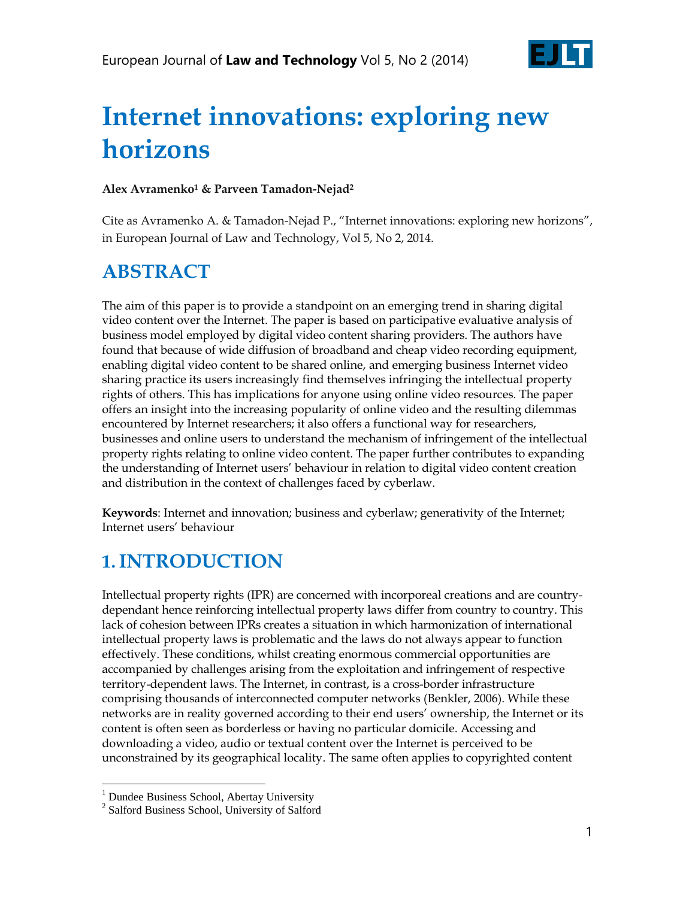

# **Internet innovations: exploring new horizons**

#### **Alex Avramenko<sup>1</sup> & Parveen Tamadon-Nejad<sup>2</sup>**

Cite as Avramenko A. & Tamadon-Nejad P., "Internet innovations: exploring new horizons", in European Journal of Law and Technology, Vol 5, No 2, 2014.

#### **ABSTRACT**

The aim of this paper is to provide a standpoint on an emerging trend in sharing digital video content over the Internet. The paper is based on participative evaluative analysis of business model employed by digital video content sharing providers. The authors have found that because of wide diffusion of broadband and cheap video recording equipment, enabling digital video content to be shared online, and emerging business Internet video sharing practice its users increasingly find themselves infringing the intellectual property rights of others. This has implications for anyone using online video resources. The paper offers an insight into the increasing popularity of online video and the resulting dilemmas encountered by Internet researchers; it also offers a functional way for researchers, businesses and online users to understand the mechanism of infringement of the intellectual property rights relating to online video content. The paper further contributes to expanding the understanding of Internet users' behaviour in relation to digital video content creation and distribution in the context of challenges faced by cyberlaw.

**Keywords**: Internet and innovation; business and cyberlaw; generativity of the Internet; Internet users' behaviour

#### **1.INTRODUCTION**

Intellectual property rights (IPR) are concerned with incorporeal creations and are countrydependant hence reinforcing intellectual property laws differ from country to country. This lack of cohesion between IPRs creates a situation in which harmonization of international intellectual property laws is problematic and the laws do not always appear to function effectively. These conditions, whilst creating enormous commercial opportunities are accompanied by challenges arising from the exploitation and infringement of respective territory-dependent laws. The Internet, in contrast, is a cross-border infrastructure comprising thousands of interconnected computer networks (Benkler, 2006). While these networks are in reality governed according to their end users' ownership, the Internet or its content is often seen as borderless or having no particular domicile. Accessing and downloading a video, audio or textual content over the Internet is perceived to be unconstrained by its geographical locality. The same often applies to copyrighted content

 $\overline{a}$ 

<sup>&</sup>lt;sup>1</sup> Dundee Business School, Abertay University

<sup>&</sup>lt;sup>2</sup> Salford Business School, University of Salford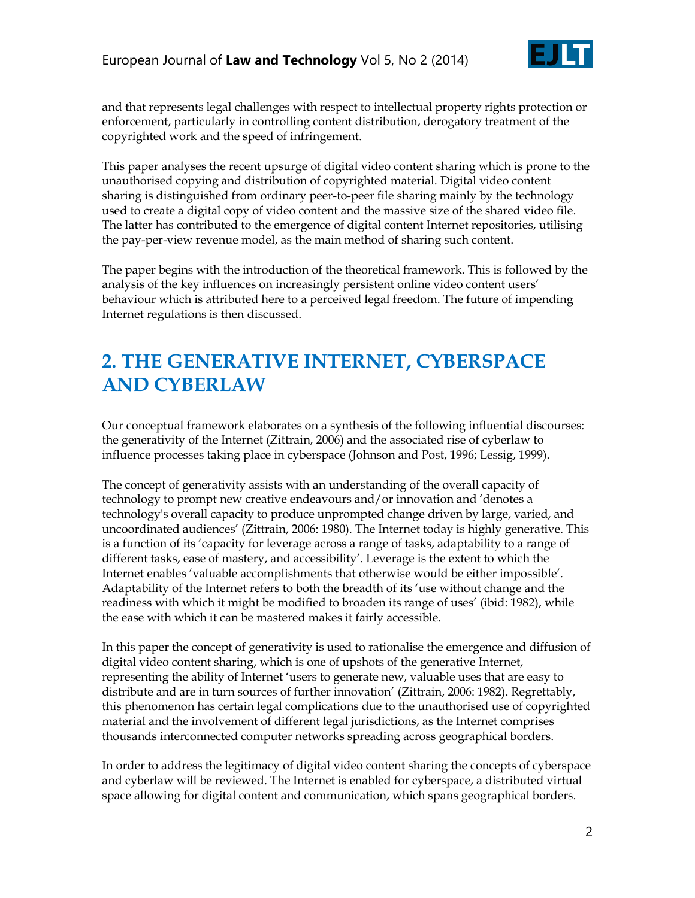

and that represents legal challenges with respect to intellectual property rights protection or enforcement, particularly in controlling content distribution, derogatory treatment of the copyrighted work and the speed of infringement.

This paper analyses the recent upsurge of digital video content sharing which is prone to the unauthorised copying and distribution of copyrighted material. Digital video content sharing is distinguished from ordinary peer-to-peer file sharing mainly by the technology used to create a digital copy of video content and the massive size of the shared video file. The latter has contributed to the emergence of digital content Internet repositories, utilising the pay-per-view revenue model, as the main method of sharing such content.

The paper begins with the introduction of the theoretical framework. This is followed by the analysis of the key influences on increasingly persistent online video content users' behaviour which is attributed here to a perceived legal freedom. The future of impending Internet regulations is then discussed.

#### **2. THE GENERATIVE INTERNET, CYBERSPACE AND CYBERLAW**

Our conceptual framework elaborates on a synthesis of the following influential discourses: the generativity of the Internet (Zittrain, 2006) and the associated rise of cyberlaw to influence processes taking place in cyberspace (Johnson and Post, 1996; Lessig, 1999).

The concept of generativity assists with an understanding of the overall capacity of technology to prompt new creative endeavours and/or innovation and 'denotes a technology's overall capacity to produce unprompted change driven by large, varied, and uncoordinated audiences' (Zittrain, 2006: 1980). The Internet today is highly generative. This is a function of its 'capacity for leverage across a range of tasks, adaptability to a range of different tasks, ease of mastery, and accessibility'. Leverage is the extent to which the Internet enables 'valuable accomplishments that otherwise would be either impossible'. Adaptability of the Internet refers to both the breadth of its 'use without change and the readiness with which it might be modified to broaden its range of uses' (ibid: 1982), while the ease with which it can be mastered makes it fairly accessible.

In this paper the concept of generativity is used to rationalise the emergence and diffusion of digital video content sharing, which is one of upshots of the generative Internet, representing the ability of Internet 'users to generate new, valuable uses that are easy to distribute and are in turn sources of further innovation' (Zittrain, 2006: 1982). Regrettably, this phenomenon has certain legal complications due to the unauthorised use of copyrighted material and the involvement of different legal jurisdictions, as the Internet comprises thousands interconnected computer networks spreading across geographical borders.

In order to address the legitimacy of digital video content sharing the concepts of cyberspace and cyberlaw will be reviewed. The Internet is enabled for cyberspace, a distributed virtual space allowing for digital content and communication, which spans geographical borders.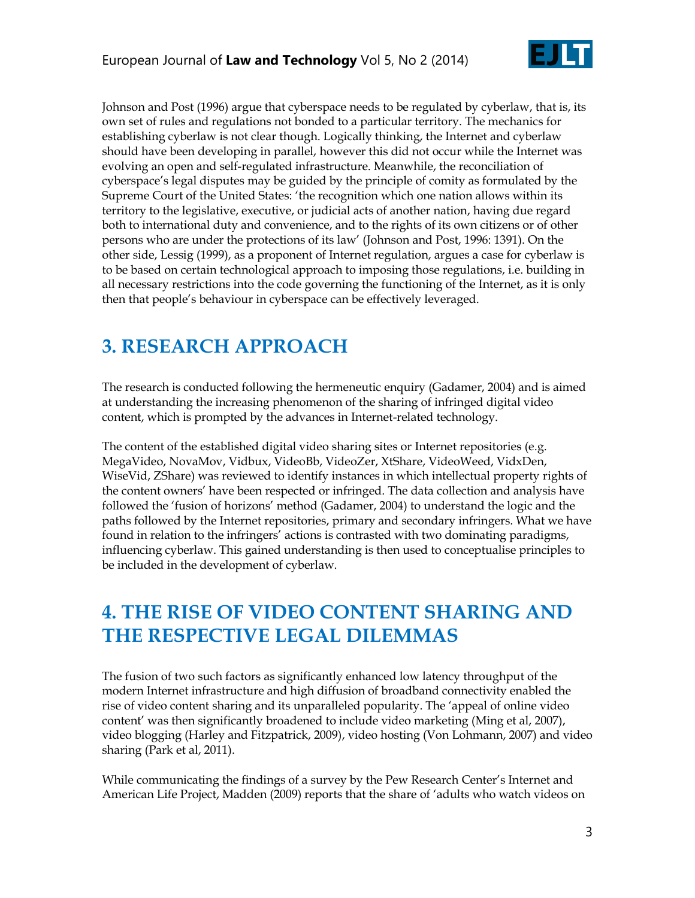

Johnson and Post (1996) argue that cyberspace needs to be regulated by cyberlaw, that is, its own set of rules and regulations not bonded to a particular territory. The mechanics for establishing cyberlaw is not clear though. Logically thinking, the Internet and cyberlaw should have been developing in parallel, however this did not occur while the Internet was evolving an open and self-regulated infrastructure. Meanwhile, the reconciliation of cyberspace's legal disputes may be guided by the principle of comity as formulated by the Supreme Court of the United States: 'the recognition which one nation allows within its territory to the legislative, executive, or judicial acts of another nation, having due regard both to international duty and convenience, and to the rights of its own citizens or of other persons who are under the protections of its law' (Johnson and Post, 1996: 1391). On the other side, Lessig (1999), as a proponent of Internet regulation, argues a case for cyberlaw is to be based on certain technological approach to imposing those regulations, i.e. building in all necessary restrictions into the code governing the functioning of the Internet, as it is only then that people's behaviour in cyberspace can be effectively leveraged.

# **3. RESEARCH APPROACH**

The research is conducted following the hermeneutic enquiry (Gadamer, 2004) and is aimed at understanding the increasing phenomenon of the sharing of infringed digital video content, which is prompted by the advances in Internet-related technology.

The content of the established digital video sharing sites or Internet repositories (e.g. MegaVideo, NovaMov, Vidbux, VideoBb, VideoZer, XtShare, VideoWeed, VidxDen, WiseVid, ZShare) was reviewed to identify instances in which intellectual property rights of the content owners' have been respected or infringed. The data collection and analysis have followed the 'fusion of horizons' method (Gadamer, 2004) to understand the logic and the paths followed by the Internet repositories, primary and secondary infringers. What we have found in relation to the infringers' actions is contrasted with two dominating paradigms, influencing cyberlaw. This gained understanding is then used to conceptualise principles to be included in the development of cyberlaw.

# **4. THE RISE OF VIDEO CONTENT SHARING AND THE RESPECTIVE LEGAL DILEMMAS**

The fusion of two such factors as significantly enhanced low latency throughput of the modern Internet infrastructure and high diffusion of broadband connectivity enabled the rise of video content sharing and its unparalleled popularity. The 'appeal of online video content' was then significantly broadened to include video marketing (Ming et al, 2007), video blogging (Harley and Fitzpatrick, 2009), video hosting (Von Lohmann, 2007) and video sharing (Park et al, 2011).

While communicating the findings of a survey by the Pew Research Center's Internet and American Life Project, Madden (2009) reports that the share of 'adults who watch videos on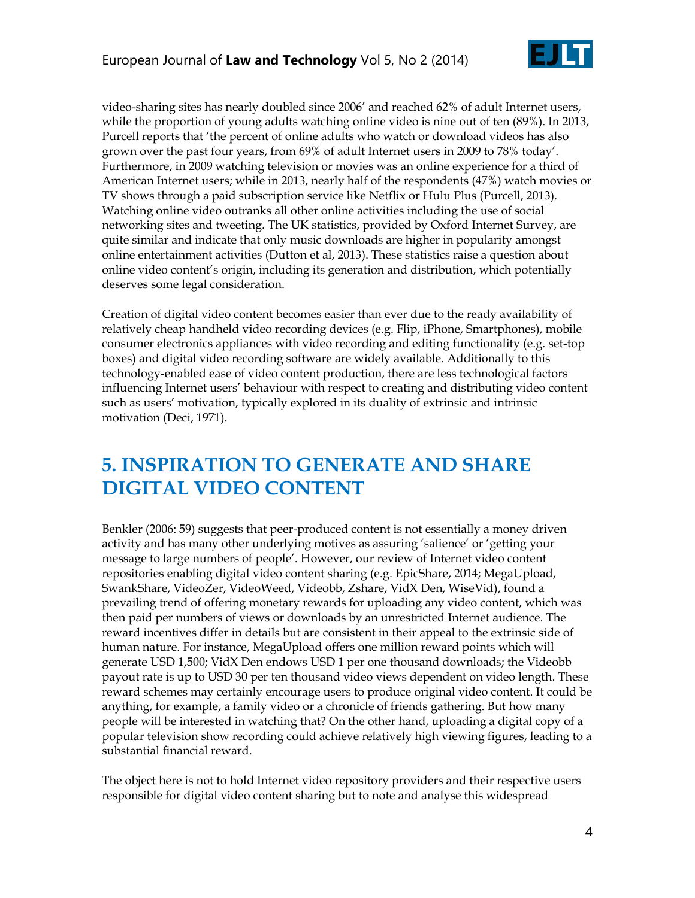

video-sharing sites has nearly doubled since 2006' and reached 62% of adult Internet users, while the proportion of young adults watching online video is nine out of ten (89%). In 2013, Purcell reports that 'the percent of online adults who watch or download videos has also grown over the past four years, from 69% of adult Internet users in 2009 to 78% today'. Furthermore, in 2009 watching television or movies was an online experience for a third of American Internet users; while in 2013, nearly half of the respondents (47%) watch movies or TV shows through a paid subscription service like Netflix or Hulu Plus (Purcell, 2013). Watching online video outranks all other online activities including the use of social networking sites and tweeting. The UK statistics, provided by Oxford Internet Survey, are quite similar and indicate that only music downloads are higher in popularity amongst online entertainment activities (Dutton et al, 2013). These statistics raise a question about online video content's origin, including its generation and distribution, which potentially deserves some legal consideration.

Creation of digital video content becomes easier than ever due to the ready availability of relatively cheap handheld video recording devices (e.g. Flip, iPhone, Smartphones), mobile consumer electronics appliances with video recording and editing functionality (e.g. set-top boxes) and digital video recording software are widely available. Additionally to this technology-enabled ease of video content production, there are less technological factors influencing Internet users' behaviour with respect to creating and distributing video content such as users' motivation, typically explored in its duality of extrinsic and intrinsic motivation (Deci, 1971).

# **5. INSPIRATION TO GENERATE AND SHARE DIGITAL VIDEO CONTENT**

Benkler (2006: 59) suggests that peer-produced content is not essentially a money driven activity and has many other underlying motives as assuring ‗salience' or ‗getting your message to large numbers of people'. However, our review of Internet video content repositories enabling digital video content sharing (e.g. EpicShare, 2014; MegaUpload, SwankShare, VideoZer, VideoWeed, Videobb, Zshare, VidX Den, WiseVid), found a prevailing trend of offering monetary rewards for uploading any video content, which was then paid per numbers of views or downloads by an unrestricted Internet audience. The reward incentives differ in details but are consistent in their appeal to the extrinsic side of human nature. For instance, MegaUpload offers one million reward points which will generate USD 1,500; VidX Den endows USD 1 per one thousand downloads; the Videobb payout rate is up to USD 30 per ten thousand video views dependent on video length. These reward schemes may certainly encourage users to produce original video content. It could be anything, for example, a family video or a chronicle of friends gathering. But how many people will be interested in watching that? On the other hand, uploading a digital copy of a popular television show recording could achieve relatively high viewing figures, leading to a substantial financial reward.

The object here is not to hold Internet video repository providers and their respective users responsible for digital video content sharing but to note and analyse this widespread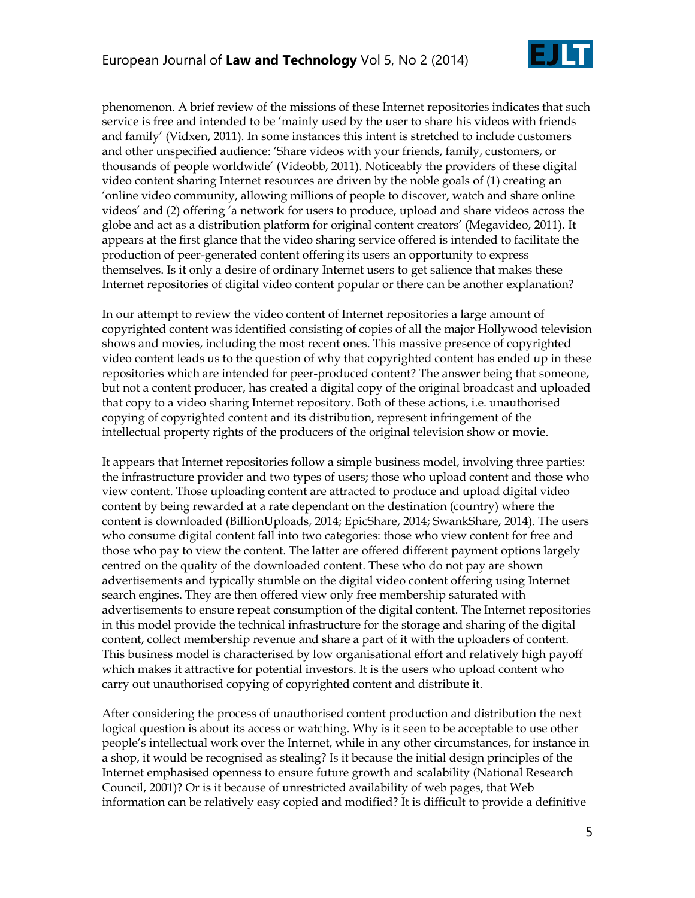

phenomenon. A brief review of the missions of these Internet repositories indicates that such service is free and intended to be 'mainly used by the user to share his videos with friends and family' (Vidxen, 2011). In some instances this intent is stretched to include customers and other unspecified audience: ‗Share videos with your friends, family, customers, or thousands of people worldwide' (Videobb, 2011). Noticeably the providers of these digital video content sharing Internet resources are driven by the noble goals of (1) creating an ‗online video community, allowing millions of people to discover, watch and share online videos' and (2) offering ‗a network for users to produce, upload and share videos across the globe and act as a distribution platform for original content creators' (Megavideo, 2011). It appears at the first glance that the video sharing service offered is intended to facilitate the production of peer-generated content offering its users an opportunity to express themselves. Is it only a desire of ordinary Internet users to get salience that makes these Internet repositories of digital video content popular or there can be another explanation?

In our attempt to review the video content of Internet repositories a large amount of copyrighted content was identified consisting of copies of all the major Hollywood television shows and movies, including the most recent ones. This massive presence of copyrighted video content leads us to the question of why that copyrighted content has ended up in these repositories which are intended for peer-produced content? The answer being that someone, but not a content producer, has created a digital copy of the original broadcast and uploaded that copy to a video sharing Internet repository. Both of these actions, i.e. unauthorised copying of copyrighted content and its distribution, represent infringement of the intellectual property rights of the producers of the original television show or movie.

It appears that Internet repositories follow a simple business model, involving three parties: the infrastructure provider and two types of users; those who upload content and those who view content. Those uploading content are attracted to produce and upload digital video content by being rewarded at a rate dependant on the destination (country) where the content is downloaded (BillionUploads, 2014; EpicShare, 2014; SwankShare, 2014). The users who consume digital content fall into two categories: those who view content for free and those who pay to view the content. The latter are offered different payment options largely centred on the quality of the downloaded content. These who do not pay are shown advertisements and typically stumble on the digital video content offering using Internet search engines. They are then offered view only free membership saturated with advertisements to ensure repeat consumption of the digital content. The Internet repositories in this model provide the technical infrastructure for the storage and sharing of the digital content, collect membership revenue and share a part of it with the uploaders of content. This business model is characterised by low organisational effort and relatively high payoff which makes it attractive for potential investors. It is the users who upload content who carry out unauthorised copying of copyrighted content and distribute it.

After considering the process of unauthorised content production and distribution the next logical question is about its access or watching. Why is it seen to be acceptable to use other people's intellectual work over the Internet, while in any other circumstances, for instance in a shop, it would be recognised as stealing? Is it because the initial design principles of the Internet emphasised openness to ensure future growth and scalability (National Research Council, 2001)? Or is it because of unrestricted availability of web pages, that Web information can be relatively easy copied and modified? It is difficult to provide a definitive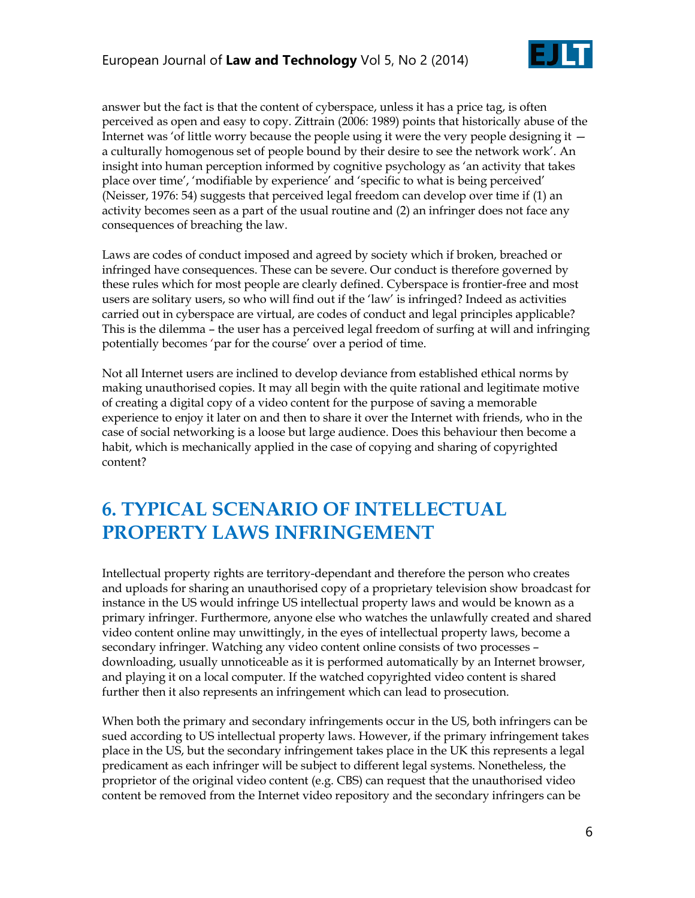

answer but the fact is that the content of cyberspace, unless it has a price tag, is often perceived as open and easy to copy. Zittrain (2006: 1989) points that historically abuse of the Internet was 'of little worry because the people using it were the very people designing it  $$ a culturally homogenous set of people bound by their desire to see the network work'. An insight into human perception informed by cognitive psychology as 'an activity that takes place over time', 'modifiable by experience' and 'specific to what is being perceived' (Neisser, 1976: 54) suggests that perceived legal freedom can develop over time if (1) an activity becomes seen as a part of the usual routine and (2) an infringer does not face any consequences of breaching the law.

Laws are codes of conduct imposed and agreed by society which if broken, breached or infringed have consequences. These can be severe. Our conduct is therefore governed by these rules which for most people are clearly defined. Cyberspace is frontier-free and most users are solitary users, so who will find out if the 'law' is infringed? Indeed as activities carried out in cyberspace are virtual, are codes of conduct and legal principles applicable? This is the dilemma – the user has a perceived legal freedom of surfing at will and infringing potentially becomes 'par for the course' over a period of time.

Not all Internet users are inclined to develop deviance from established ethical norms by making unauthorised copies. It may all begin with the quite rational and legitimate motive of creating a digital copy of a video content for the purpose of saving a memorable experience to enjoy it later on and then to share it over the Internet with friends, who in the case of social networking is a loose but large audience. Does this behaviour then become a habit, which is mechanically applied in the case of copying and sharing of copyrighted content?

#### **6. TYPICAL SCENARIO OF INTELLECTUAL PROPERTY LAWS INFRINGEMENT**

Intellectual property rights are territory-dependant and therefore the person who creates and uploads for sharing an unauthorised copy of a proprietary television show broadcast for instance in the US would infringe US intellectual property laws and would be known as a primary infringer. Furthermore, anyone else who watches the unlawfully created and shared video content online may unwittingly, in the eyes of intellectual property laws, become a secondary infringer. Watching any video content online consists of two processes – downloading, usually unnoticeable as it is performed automatically by an Internet browser, and playing it on a local computer. If the watched copyrighted video content is shared further then it also represents an infringement which can lead to prosecution.

When both the primary and secondary infringements occur in the US, both infringers can be sued according to US intellectual property laws. However, if the primary infringement takes place in the US, but the secondary infringement takes place in the UK this represents a legal predicament as each infringer will be subject to different legal systems. Nonetheless, the proprietor of the original video content (e.g. CBS) can request that the unauthorised video content be removed from the Internet video repository and the secondary infringers can be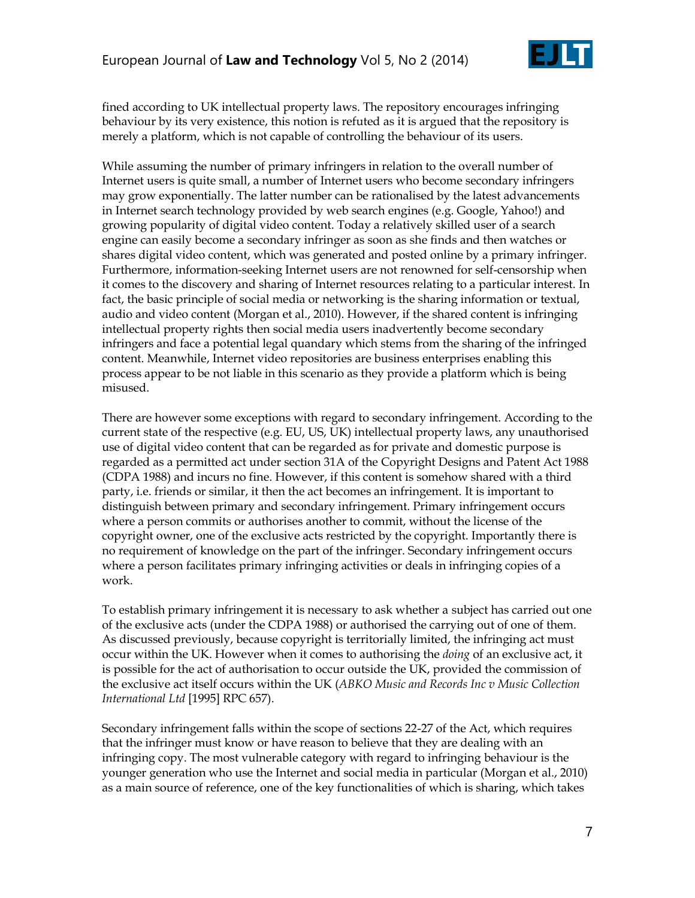

fined according to UK intellectual property laws. The repository encourages infringing behaviour by its very existence, this notion is refuted as it is argued that the repository is merely a platform, which is not capable of controlling the behaviour of its users.

While assuming the number of primary infringers in relation to the overall number of Internet users is quite small, a number of Internet users who become secondary infringers may grow exponentially. The latter number can be rationalised by the latest advancements in Internet search technology provided by web search engines (e.g. Google, Yahoo!) and growing popularity of digital video content. Today a relatively skilled user of a search engine can easily become a secondary infringer as soon as she finds and then watches or shares digital video content, which was generated and posted online by a primary infringer. Furthermore, information-seeking Internet users are not renowned for self-censorship when it comes to the discovery and sharing of Internet resources relating to a particular interest. In fact, the basic principle of social media or networking is the sharing information or textual, audio and video content (Morgan et al., 2010). However, if the shared content is infringing intellectual property rights then social media users inadvertently become secondary infringers and face a potential legal quandary which stems from the sharing of the infringed content. Meanwhile, Internet video repositories are business enterprises enabling this process appear to be not liable in this scenario as they provide a platform which is being misused.

There are however some exceptions with regard to secondary infringement. According to the current state of the respective (e.g. EU, US, UK) intellectual property laws, any unauthorised use of digital video content that can be regarded as for private and domestic purpose is regarded as a permitted act under section 31A of the Copyright Designs and Patent Act 1988 (CDPA 1988) and incurs no fine. However, if this content is somehow shared with a third party, i.e. friends or similar, it then the act becomes an infringement. It is important to distinguish between primary and secondary infringement. Primary infringement occurs where a person commits or authorises another to commit, without the license of the copyright owner, one of the exclusive acts restricted by the copyright. Importantly there is no requirement of knowledge on the part of the infringer. Secondary infringement occurs where a person facilitates primary infringing activities or deals in infringing copies of a work.

To establish primary infringement it is necessary to ask whether a subject has carried out one of the exclusive acts (under the CDPA 1988) or authorised the carrying out of one of them. As discussed previously, because copyright is territorially limited, the infringing act must occur within the UK. However when it comes to authorising the *doing* of an exclusive act, it is possible for the act of authorisation to occur outside the UK, provided the commission of the exclusive act itself occurs within the UK (*ABKO Music and Records Inc v Music Collection International Ltd* [1995] RPC 657).

Secondary infringement falls within the scope of sections 22-27 of the Act, which requires that the infringer must know or have reason to believe that they are dealing with an infringing copy. The most vulnerable category with regard to infringing behaviour is the younger generation who use the Internet and social media in particular (Morgan et al., 2010) as a main source of reference, one of the key functionalities of which is sharing, which takes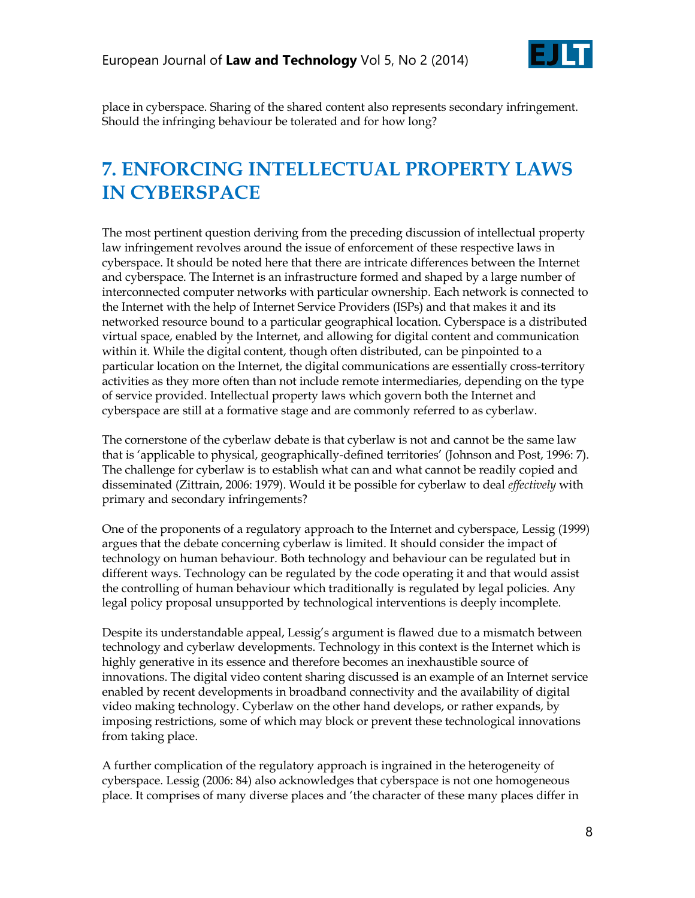

place in cyberspace. Sharing of the shared content also represents secondary infringement. Should the infringing behaviour be tolerated and for how long?

# **7. ENFORCING INTELLECTUAL PROPERTY LAWS IN CYBERSPACE**

The most pertinent question deriving from the preceding discussion of intellectual property law infringement revolves around the issue of enforcement of these respective laws in cyberspace. It should be noted here that there are intricate differences between the Internet and cyberspace. The Internet is an infrastructure formed and shaped by a large number of interconnected computer networks with particular ownership. Each network is connected to the Internet with the help of Internet Service Providers (ISPs) and that makes it and its networked resource bound to a particular geographical location. Cyberspace is a distributed virtual space, enabled by the Internet, and allowing for digital content and communication within it. While the digital content, though often distributed, can be pinpointed to a particular location on the Internet, the digital communications are essentially cross-territory activities as they more often than not include remote intermediaries, depending on the type of service provided. Intellectual property laws which govern both the Internet and cyberspace are still at a formative stage and are commonly referred to as cyberlaw.

The cornerstone of the cyberlaw debate is that cyberlaw is not and cannot be the same law that is 'applicable to physical, geographically-defined territories' (Johnson and Post, 1996: 7). The challenge for cyberlaw is to establish what can and what cannot be readily copied and disseminated (Zittrain, 2006: 1979). Would it be possible for cyberlaw to deal *effectively* with primary and secondary infringements?

One of the proponents of a regulatory approach to the Internet and cyberspace, Lessig (1999) argues that the debate concerning cyberlaw is limited. It should consider the impact of technology on human behaviour. Both technology and behaviour can be regulated but in different ways. Technology can be regulated by the code operating it and that would assist the controlling of human behaviour which traditionally is regulated by legal policies. Any legal policy proposal unsupported by technological interventions is deeply incomplete.

Despite its understandable appeal, Lessig's argument is flawed due to a mismatch between technology and cyberlaw developments. Technology in this context is the Internet which is highly generative in its essence and therefore becomes an inexhaustible source of innovations. The digital video content sharing discussed is an example of an Internet service enabled by recent developments in broadband connectivity and the availability of digital video making technology. Cyberlaw on the other hand develops, or rather expands, by imposing restrictions, some of which may block or prevent these technological innovations from taking place.

A further complication of the regulatory approach is ingrained in the heterogeneity of cyberspace. Lessig (2006: 84) also acknowledges that cyberspace is not one homogeneous place. It comprises of many diverse places and ‗the character of these many places differ in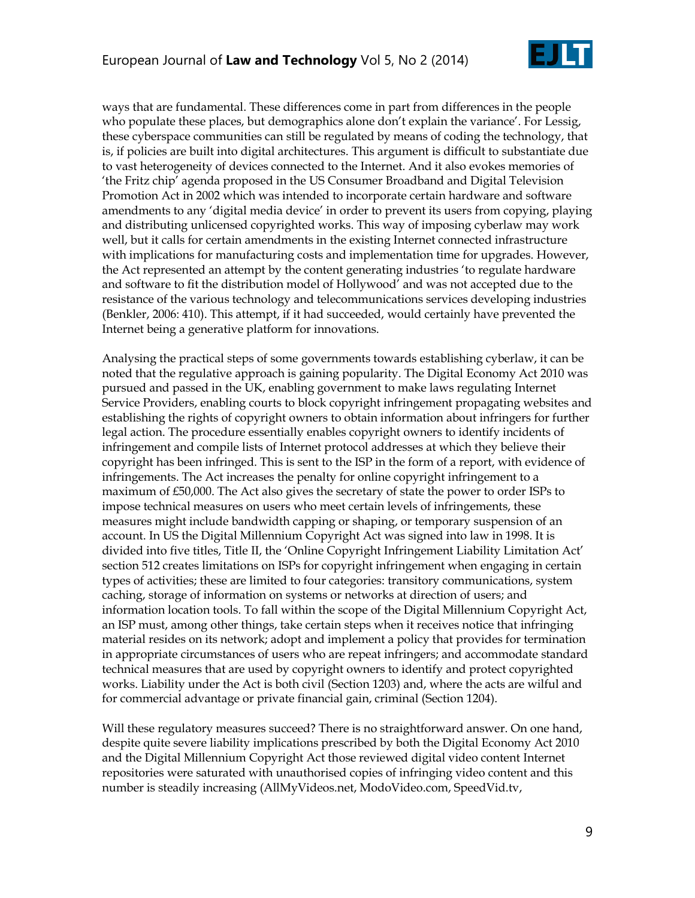

ways that are fundamental. These differences come in part from differences in the people who populate these places, but demographics alone don't explain the variance'. For Lessig, these cyberspace communities can still be regulated by means of coding the technology, that is, if policies are built into digital architectures. This argument is difficult to substantiate due to vast heterogeneity of devices connected to the Internet. And it also evokes memories of ‗the Fritz chip' agenda proposed in the US Consumer Broadband and Digital Television Promotion Act in 2002 which was intended to incorporate certain hardware and software amendments to any 'digital media device' in order to prevent its users from copying, playing and distributing unlicensed copyrighted works. This way of imposing cyberlaw may work well, but it calls for certain amendments in the existing Internet connected infrastructure with implications for manufacturing costs and implementation time for upgrades. However, the Act represented an attempt by the content generating industries 'to regulate hardware and software to fit the distribution model of Hollywood' and was not accepted due to the resistance of the various technology and telecommunications services developing industries (Benkler, 2006: 410). This attempt, if it had succeeded, would certainly have prevented the Internet being a generative platform for innovations.

Analysing the practical steps of some governments towards establishing cyberlaw, it can be noted that the regulative approach is gaining popularity. The Digital Economy Act 2010 was pursued and passed in the UK, enabling government to make laws regulating Internet Service Providers, enabling courts to block copyright infringement propagating websites and establishing the rights of copyright owners to obtain information about infringers for further legal action. The procedure essentially enables copyright owners to identify incidents of infringement and compile lists of Internet protocol addresses at which they believe their copyright has been infringed. This is sent to the ISP in the form of a report, with evidence of infringements. The Act increases the penalty for online copyright infringement to a maximum of £50,000. The Act also gives the secretary of state the power to order ISPs to impose technical measures on users who meet certain levels of infringements, these measures might include bandwidth capping or shaping, or temporary suspension of an account. In US the Digital Millennium Copyright Act was signed into law in 1998. It is divided into five titles, Title II, the 'Online Copyright Infringement Liability Limitation Act' section 512 creates limitations on ISPs for copyright infringement when engaging in certain types of activities; these are limited to four categories: transitory communications, system caching, storage of information on systems or networks at direction of users; and information location tools. To fall within the scope of the Digital Millennium Copyright Act, an ISP must, among other things, take certain steps when it receives notice that infringing material resides on its network; adopt and implement a policy that provides for termination in appropriate circumstances of users who are repeat infringers; and accommodate standard technical measures that are used by copyright owners to identify and protect copyrighted works. Liability under the Act is both civil (Section 1203) and, where the acts are wilful and for commercial advantage or private financial gain, criminal (Section 1204).

Will these regulatory measures succeed? There is no straightforward answer. On one hand, despite quite severe liability implications prescribed by both the Digital Economy Act 2010 and the Digital Millennium Copyright Act those reviewed digital video content Internet repositories were saturated with unauthorised copies of infringing video content and this number is steadily increasing (AllMyVideos.net, ModoVideo.com, SpeedVid.tv,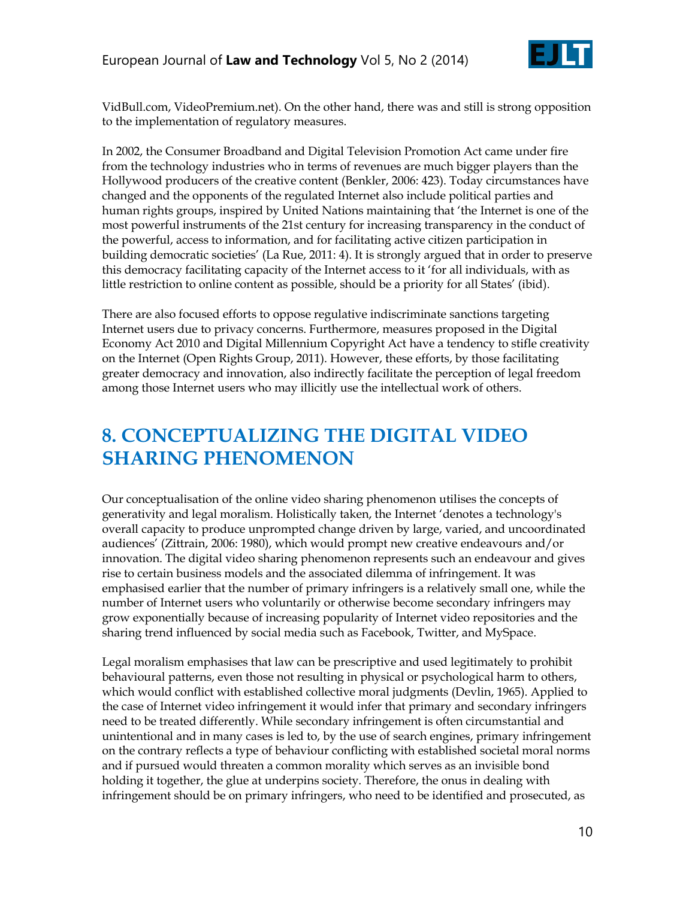

VidBull.com, VideoPremium.net). On the other hand, there was and still is strong opposition to the implementation of regulatory measures.

In 2002, the Consumer Broadband and Digital Television Promotion Act came under fire from the technology industries who in terms of revenues are much bigger players than the Hollywood producers of the creative content (Benkler, 2006: 423). Today circumstances have changed and the opponents of the regulated Internet also include political parties and human rights groups, inspired by United Nations maintaining that 'the Internet is one of the most powerful instruments of the 21st century for increasing transparency in the conduct of the powerful, access to information, and for facilitating active citizen participation in building democratic societies' (La Rue, 2011: 4). It is strongly argued that in order to preserve this democracy facilitating capacity of the Internet access to it ‗for all individuals, with as little restriction to online content as possible, should be a priority for all States' (ibid).

There are also focused efforts to oppose regulative indiscriminate sanctions targeting Internet users due to privacy concerns. Furthermore, measures proposed in the Digital Economy Act 2010 and Digital Millennium Copyright Act have a tendency to stifle creativity on the Internet (Open Rights Group, 2011). However, these efforts, by those facilitating greater democracy and innovation, also indirectly facilitate the perception of legal freedom among those Internet users who may illicitly use the intellectual work of others.

# **8. CONCEPTUALIZING THE DIGITAL VIDEO SHARING PHENOMENON**

Our conceptualisation of the online video sharing phenomenon utilises the concepts of generativity and legal moralism. Holistically taken, the Internet ‗denotes a technology's overall capacity to produce unprompted change driven by large, varied, and uncoordinated audiences' (Zittrain, 2006: 1980), which would prompt new creative endeavours and/or innovation. The digital video sharing phenomenon represents such an endeavour and gives rise to certain business models and the associated dilemma of infringement. It was emphasised earlier that the number of primary infringers is a relatively small one, while the number of Internet users who voluntarily or otherwise become secondary infringers may grow exponentially because of increasing popularity of Internet video repositories and the sharing trend influenced by social media such as Facebook, Twitter, and MySpace.

Legal moralism emphasises that law can be prescriptive and used legitimately to prohibit behavioural patterns, even those not resulting in physical or psychological harm to others, which would conflict with established collective moral judgments (Devlin, 1965). Applied to the case of Internet video infringement it would infer that primary and secondary infringers need to be treated differently. While secondary infringement is often circumstantial and unintentional and in many cases is led to, by the use of search engines, primary infringement on the contrary reflects a type of behaviour conflicting with established societal moral norms and if pursued would threaten a common morality which serves as an invisible bond holding it together, the glue at underpins society. Therefore, the onus in dealing with infringement should be on primary infringers, who need to be identified and prosecuted, as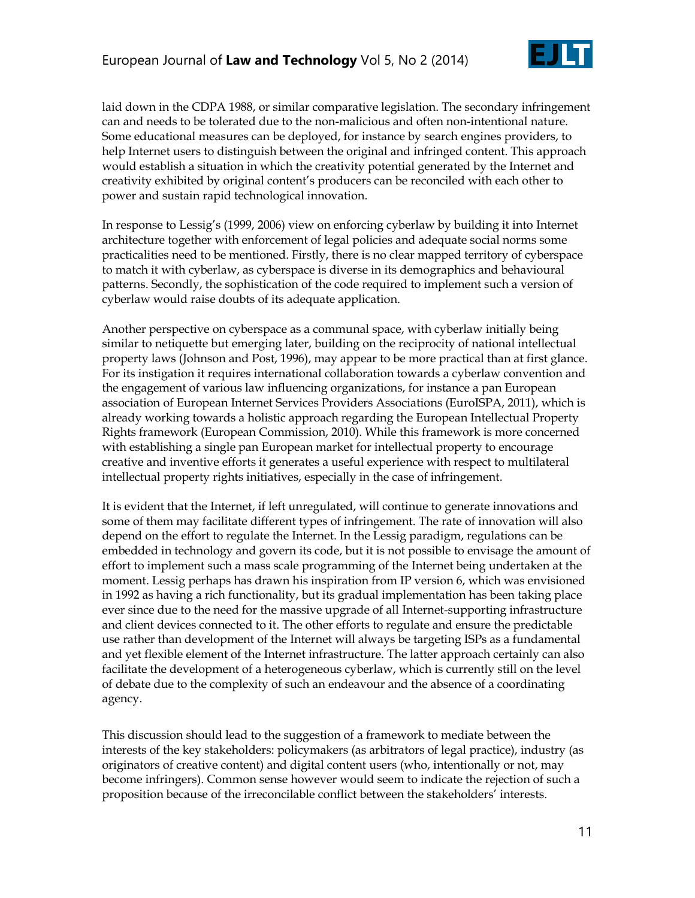

laid down in the CDPA 1988, or similar comparative legislation. The secondary infringement can and needs to be tolerated due to the non-malicious and often non-intentional nature. Some educational measures can be deployed, for instance by search engines providers, to help Internet users to distinguish between the original and infringed content. This approach would establish a situation in which the creativity potential generated by the Internet and creativity exhibited by original content's producers can be reconciled with each other to power and sustain rapid technological innovation.

In response to Lessig's (1999, 2006) view on enforcing cyberlaw by building it into Internet architecture together with enforcement of legal policies and adequate social norms some practicalities need to be mentioned. Firstly, there is no clear mapped territory of cyberspace to match it with cyberlaw, as cyberspace is diverse in its demographics and behavioural patterns. Secondly, the sophistication of the code required to implement such a version of cyberlaw would raise doubts of its adequate application.

Another perspective on cyberspace as a communal space, with cyberlaw initially being similar to netiquette but emerging later, building on the reciprocity of national intellectual property laws (Johnson and Post, 1996), may appear to be more practical than at first glance. For its instigation it requires international collaboration towards a cyberlaw convention and the engagement of various law influencing organizations, for instance a pan European association of European Internet Services Providers Associations (EuroISPA, 2011), which is already working towards a holistic approach regarding the European Intellectual Property Rights framework (European Commission, 2010). While this framework is more concerned with establishing a single pan European market for intellectual property to encourage creative and inventive efforts it generates a useful experience with respect to multilateral intellectual property rights initiatives, especially in the case of infringement.

It is evident that the Internet, if left unregulated, will continue to generate innovations and some of them may facilitate different types of infringement. The rate of innovation will also depend on the effort to regulate the Internet. In the Lessig paradigm, regulations can be embedded in technology and govern its code, but it is not possible to envisage the amount of effort to implement such a mass scale programming of the Internet being undertaken at the moment. Lessig perhaps has drawn his inspiration from IP version 6, which was envisioned in 1992 as having a rich functionality, but its gradual implementation has been taking place ever since due to the need for the massive upgrade of all Internet-supporting infrastructure and client devices connected to it. The other efforts to regulate and ensure the predictable use rather than development of the Internet will always be targeting ISPs as a fundamental and yet flexible element of the Internet infrastructure. The latter approach certainly can also facilitate the development of a heterogeneous cyberlaw, which is currently still on the level of debate due to the complexity of such an endeavour and the absence of a coordinating agency.

This discussion should lead to the suggestion of a framework to mediate between the interests of the key stakeholders: policymakers (as arbitrators of legal practice), industry (as originators of creative content) and digital content users (who, intentionally or not, may become infringers). Common sense however would seem to indicate the rejection of such a proposition because of the irreconcilable conflict between the stakeholders' interests.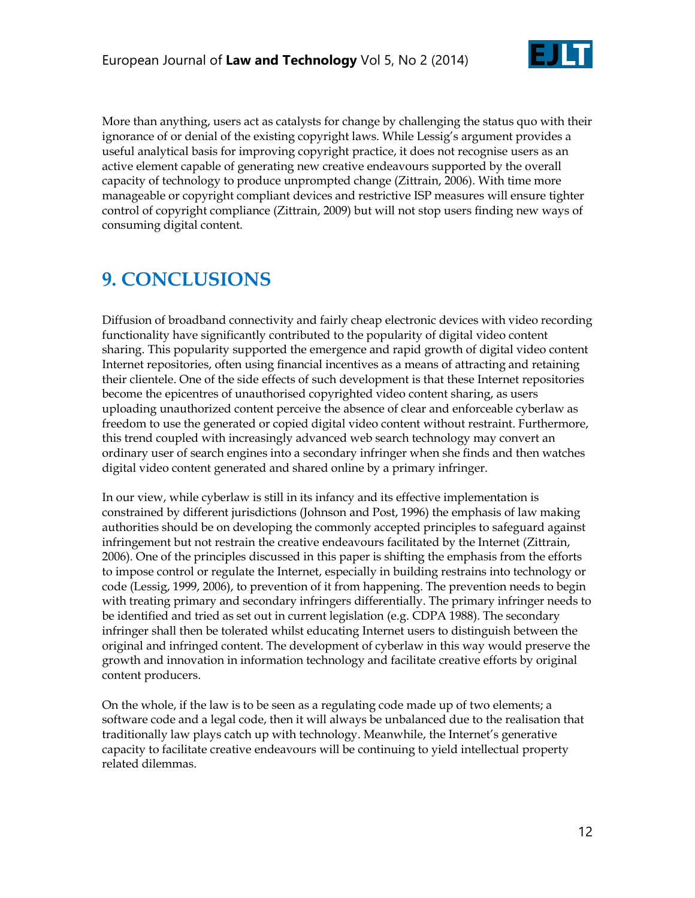

More than anything, users act as catalysts for change by challenging the status quo with their ignorance of or denial of the existing copyright laws. While Lessig's argument provides a useful analytical basis for improving copyright practice, it does not recognise users as an active element capable of generating new creative endeavours supported by the overall capacity of technology to produce unprompted change (Zittrain, 2006). With time more manageable or copyright compliant devices and restrictive ISP measures will ensure tighter control of copyright compliance (Zittrain, 2009) but will not stop users finding new ways of consuming digital content.

# **9. CONCLUSIONS**

Diffusion of broadband connectivity and fairly cheap electronic devices with video recording functionality have significantly contributed to the popularity of digital video content sharing. This popularity supported the emergence and rapid growth of digital video content Internet repositories, often using financial incentives as a means of attracting and retaining their clientele. One of the side effects of such development is that these Internet repositories become the epicentres of unauthorised copyrighted video content sharing, as users uploading unauthorized content perceive the absence of clear and enforceable cyberlaw as freedom to use the generated or copied digital video content without restraint. Furthermore, this trend coupled with increasingly advanced web search technology may convert an ordinary user of search engines into a secondary infringer when she finds and then watches digital video content generated and shared online by a primary infringer.

In our view, while cyberlaw is still in its infancy and its effective implementation is constrained by different jurisdictions (Johnson and Post, 1996) the emphasis of law making authorities should be on developing the commonly accepted principles to safeguard against infringement but not restrain the creative endeavours facilitated by the Internet (Zittrain, 2006). One of the principles discussed in this paper is shifting the emphasis from the efforts to impose control or regulate the Internet, especially in building restrains into technology or code (Lessig, 1999, 2006), to prevention of it from happening. The prevention needs to begin with treating primary and secondary infringers differentially. The primary infringer needs to be identified and tried as set out in current legislation (e.g. CDPA 1988). The secondary infringer shall then be tolerated whilst educating Internet users to distinguish between the original and infringed content. The development of cyberlaw in this way would preserve the growth and innovation in information technology and facilitate creative efforts by original content producers.

On the whole, if the law is to be seen as a regulating code made up of two elements; a software code and a legal code, then it will always be unbalanced due to the realisation that traditionally law plays catch up with technology. Meanwhile, the Internet's generative capacity to facilitate creative endeavours will be continuing to yield intellectual property related dilemmas.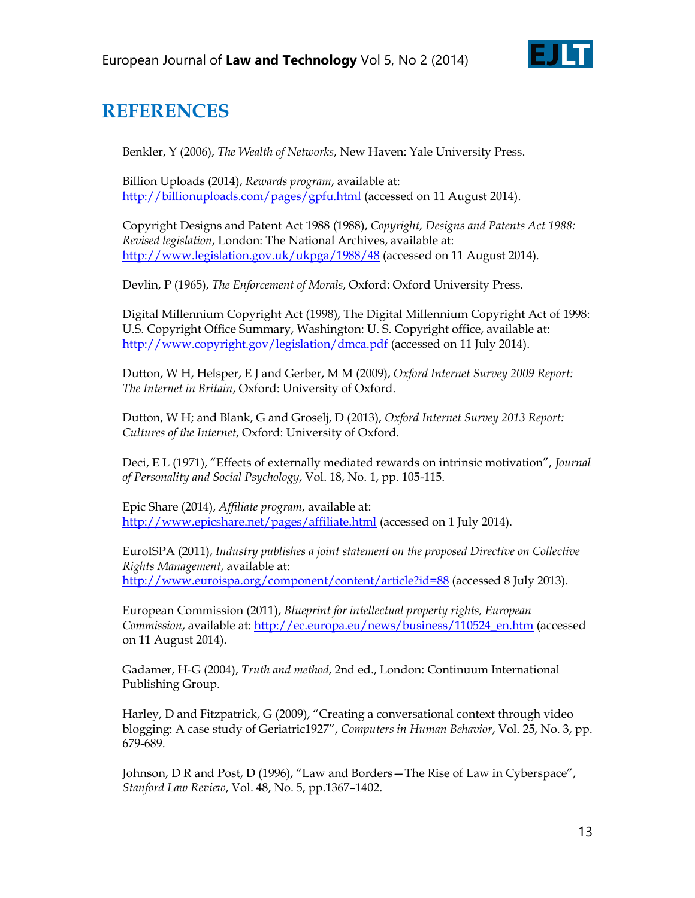

# **REFERENCES**

Benkler, Y (2006), *The Wealth of Networks*, New Haven: Yale University Press.

Billion Uploads (2014), *Rewards program*, available at: <http://billionuploads.com/pages/gpfu.html> (accessed on 11 August 2014).

Copyright Designs and Patent Act 1988 (1988), *Copyright, Designs and Patents Act 1988: Revised legislation*, London: The National Archives, available at: <http://www.legislation.gov.uk/ukpga/1988/48> (accessed on 11 August 2014).

Devlin, P (1965), *The Enforcement of Morals*, Oxford: Oxford University Press.

Digital Millennium Copyright Act (1998), The Digital Millennium Copyright Act of 1998: U.S. Copyright Office Summary, Washington: U. S. Copyright office, available at: <http://www.copyright.gov/legislation/dmca.pdf> (accessed on 11 July 2014).

Dutton, W H, Helsper, E J and Gerber, M M (2009), *Oxford Internet Survey 2009 Report: The Internet in Britain*, Oxford: University of Oxford.

Dutton, W H; and Blank, G and Groselj, D (2013), *Oxford Internet Survey 2013 Report: Cultures of the Internet*, Oxford: University of Oxford.

Deci, E L (1971), "Effects of externally mediated rewards on intrinsic motivation", *Journal of Personality and Social Psychology*, Vol. 18, No. 1, pp. 105-115.

Epic Share (2014), *Affiliate program*, available at: <http://www.epicshare.net/pages/affiliate.html> (accessed on 1 July 2014).

EuroISPA (2011), *Industry publishes a joint statement on the proposed Directive on Collective Rights Management*, available at: <http://www.euroispa.org/component/content/article?id=88> (accessed 8 July 2013).

European Commission (2011), *Blueprint for intellectual property rights, European Commission*, available at: [http://ec.europa.eu/news/business/110524\\_en.htm](http://ec.europa.eu/news/business/110524_en.htm) (accessed on 11 August 2014).

Gadamer, H-G (2004), *Truth and method*, 2nd ed., London: Continuum International Publishing Group.

Harley, D and Fitzpatrick, G (2009), "Creating a conversational context through video blogging: A case study of Geriatric1927‖, *Computers in Human Behavior*, Vol. 25, No. 3, pp. 679-689.

Johnson, D R and Post, D (1996), "Law and Borders - The Rise of Law in Cyberspace", *Stanford Law Review*, Vol. 48, No. 5, pp.1367–1402.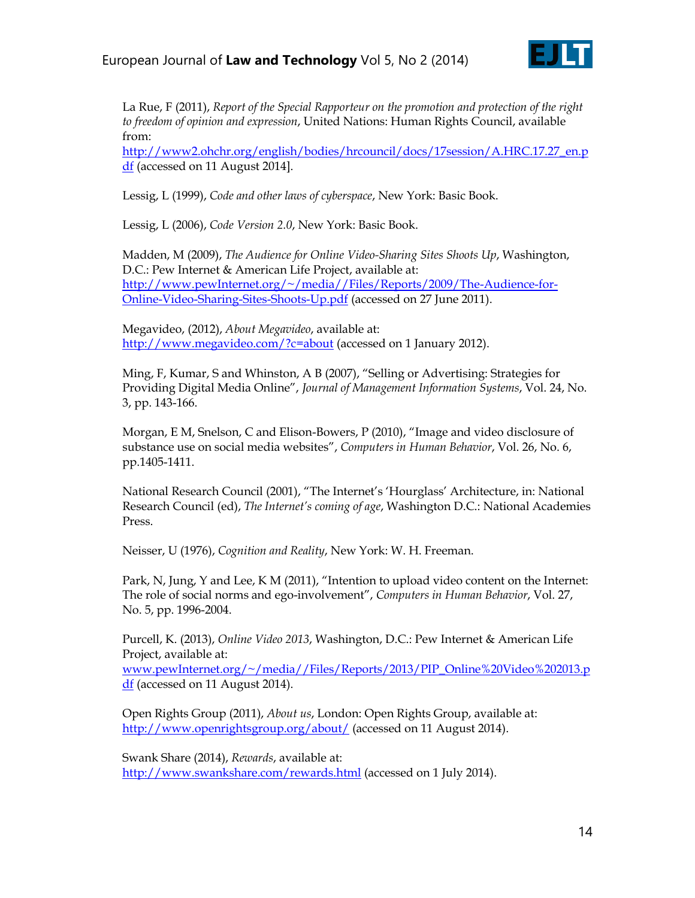

La Rue, F (2011), *Report of the Special Rapporteur on the promotion and protection of the right to freedom of opinion and expression*, United Nations: Human Rights Council, available from:

[http://www2.ohchr.org/english/bodies/hrcouncil/docs/17session/A.HRC.17.27\\_en.p](http://www2.ohchr.org/english/bodies/hrcouncil/docs/17session/A.HRC.17.27_en.pdf) [df](http://www2.ohchr.org/english/bodies/hrcouncil/docs/17session/A.HRC.17.27_en.pdf) (accessed on 11 August 2014].

Lessig, L (1999), *Code and other laws of cyberspace*, New York: Basic Book.

Lessig, L (2006), *Code Version 2.0*, New York: Basic Book.

Madden, M (2009), *The Audience for Online Video-Sharing Sites Shoots Up*, Washington, D.C.: Pew Internet & American Life Project, available at: [http://www.pewInternet.org/~/media//Files/Reports/2009/The-Audience-for-](http://www.pewinternet.org/~/media/Files/Reports/2009/The-Audience-for-Online-Video-Sharing-Sites-Shoots-Up.pdf)[Online-Video-Sharing-Sites-Shoots-Up.pdf](http://www.pewinternet.org/~/media/Files/Reports/2009/The-Audience-for-Online-Video-Sharing-Sites-Shoots-Up.pdf) (accessed on 27 June 2011).

Megavideo, (2012), *About Megavideo*, available at: <http://www.megavideo.com/?c=about> (accessed on 1 January 2012).

Ming, F, Kumar, S and Whinston, A B (2007), "Selling or Advertising: Strategies for Providing Digital Media Online‖, *Journal of Management Information Systems*, Vol. 24, No. 3, pp. 143-166.

Morgan, E M, Snelson, C and Elison-Bowers, P (2010), "Image and video disclosure of substance use on social media websites", *Computers in Human Behavior*, Vol. 26, No. 6, pp.1405-1411.

National Research Council (2001), "The Internet's 'Hourglass' Architecture, in: National Research Council (ed), *The Internet's coming of age*, Washington D.C.: National Academies Press.

Neisser, U (1976), *Cognition and Reality*, New York: W. H. Freeman.

Park, N, Jung, Y and Lee, K M (2011), "Intention to upload video content on the Internet: The role of social norms and ego-involvement‖, *Computers in Human Behavior*, Vol. 27, No. 5, pp. 1996-2004.

Purcell, K. (2013), *Online Video 2013*, Washington, D.C.: Pew Internet & American Life Project, available at:

[www.pewInternet.org/~/media//Files/Reports/2013/PIP\\_Online%20Video%202013.p](http://www.pewinternet.org/~/media/Files/Reports/2013/PIP_Online%20Video%202013.pdf) [df](http://www.pewinternet.org/~/media/Files/Reports/2013/PIP_Online%20Video%202013.pdf) (accessed on 11 August 2014).

Open Rights Group (2011), *About us*, London: Open Rights Group, available at: <http://www.openrightsgroup.org/about/> (accessed on 11 August 2014).

Swank Share (2014), *Rewards*, available at: <http://www.swankshare.com/rewards.html> (accessed on 1 July 2014).